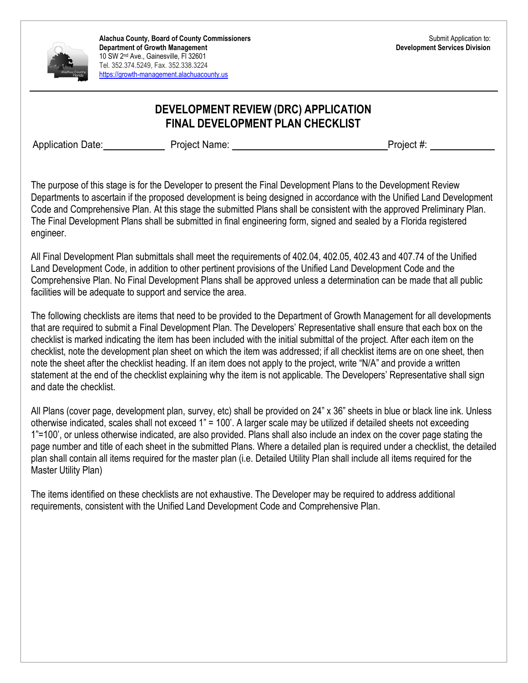

### **DEVELOPMENT REVIEW (DRC) APPLICATION FINAL DEVELOPMENT PLAN CHECKLIST**

Application Date: Project Name: Project +: Project #:

The purpose of this stage is for the Developer to present the Final Development Plans to the Development Review Departments to ascertain if the proposed development is being designed in accordance with the Unified Land Development Code and Comprehensive Plan. At this stage the submitted Plans shall be consistent with the approved Preliminary Plan. The Final Development Plans shall be submitted in final engineering form, signed and sealed by a Florida registered engineer.

All Final Development Plan submittals shall meet the requirements of 402.04, 402.05, 402.43 and 407.74 of the Unified Land Development Code, in addition to other pertinent provisions of the Unified Land Development Code and the Comprehensive Plan. No Final Development Plans shall be approved unless a determination can be made that all public facilities will be adequate to support and service the area.

The following checklists are items that need to be provided to the Department of Growth Management for all developments that are required to submit a Final Development Plan. The Developers' Representative shall ensure that each box on the checklist is marked indicating the item has been included with the initial submittal of the project. After each item on the checklist, note the development plan sheet on which the item was addressed; if all checklist items are on one sheet, then note the sheet after the checklist heading. If an item does not apply to the project, write "N/A" and provide a written statement at the end of the checklist explaining why the item is not applicable. The Developers' Representative shall sign and date the checklist.

All Plans (cover page, development plan, survey, etc) shall be provided on 24" x 36" sheets in blue or black line ink. Unless otherwise indicated, scales shall not exceed 1" = 100'. A larger scale may be utilized if detailed sheets not exceeding 1"=100', or unless otherwise indicated, are also provided. Plans shall also include an index on the cover page stating the page number and title of each sheet in the submitted Plans. Where a detailed plan is required under a checklist, the detailed plan shall contain all items required for the master plan (i.e. Detailed Utility Plan shall include all items required for the Master Utility Plan)

The items identified on these checklists are not exhaustive. The Developer may be required to address additional requirements, consistent with the Unified Land Development Code and Comprehensive Plan.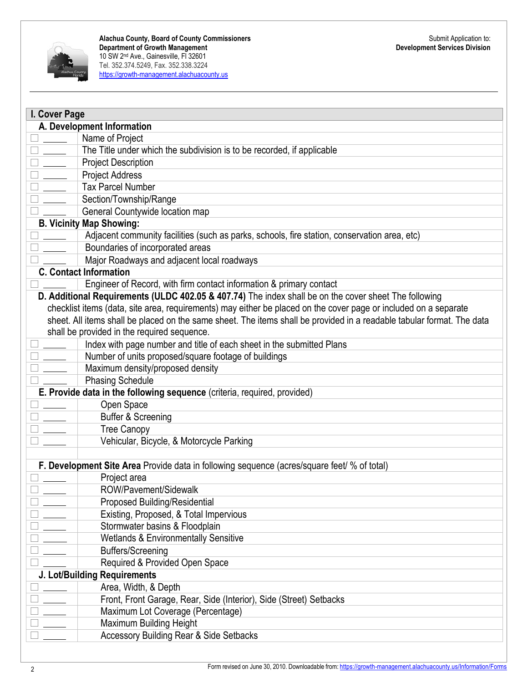

| I. Cover Page              |                                                                                                                        |  |
|----------------------------|------------------------------------------------------------------------------------------------------------------------|--|
| A. Development Information |                                                                                                                        |  |
| $\overline{\phantom{a}}$   | Name of Project                                                                                                        |  |
|                            | The Title under which the subdivision is to be recorded, if applicable                                                 |  |
| $\frac{1}{2}$              | <b>Project Description</b>                                                                                             |  |
| $\overline{\phantom{a}}$   | <b>Project Address</b>                                                                                                 |  |
| $\frac{1}{2}$              | <b>Tax Parcel Number</b>                                                                                               |  |
|                            | Section/Township/Range                                                                                                 |  |
|                            | General Countywide location map                                                                                        |  |
|                            | <b>B. Vicinity Map Showing:</b>                                                                                        |  |
|                            | Adjacent community facilities (such as parks, schools, fire station, conservation area, etc)                           |  |
|                            | Boundaries of incorporated areas                                                                                       |  |
|                            | Major Roadways and adjacent local roadways                                                                             |  |
|                            | <b>C. Contact Information</b>                                                                                          |  |
|                            | Engineer of Record, with firm contact information & primary contact                                                    |  |
|                            | D. Additional Requirements (ULDC 402.05 & 407.74) The index shall be on the cover sheet The following                  |  |
|                            | checklist items (data, site area, requirements) may either be placed on the cover page or included on a separate       |  |
|                            | sheet. All items shall be placed on the same sheet. The items shall be provided in a readable tabular format. The data |  |
|                            | shall be provided in the required sequence.                                                                            |  |
|                            | Index with page number and title of each sheet in the submitted Plans                                                  |  |
| $\overline{\phantom{a}}$   | Number of units proposed/square footage of buildings                                                                   |  |
|                            | Maximum density/proposed density                                                                                       |  |
|                            | <b>Phasing Schedule</b>                                                                                                |  |
|                            | E. Provide data in the following sequence (criteria, required, provided)                                               |  |
| $\frac{1}{1}$              | Open Space                                                                                                             |  |
|                            | <b>Buffer &amp; Screening</b>                                                                                          |  |
| $\mathcal{L}^{\text{max}}$ | <b>Tree Canopy</b>                                                                                                     |  |
|                            | Vehicular, Bicycle, & Motorcycle Parking                                                                               |  |
|                            |                                                                                                                        |  |
|                            | F. Development Site Area Provide data in following sequence (acres/square feet/ % of total)                            |  |
|                            | Project area                                                                                                           |  |
|                            | ROW/Pavement/Sidewalk                                                                                                  |  |
|                            | Proposed Building/Residential                                                                                          |  |
|                            | Existing, Proposed, & Total Impervious                                                                                 |  |
|                            | Stormwater basins & Floodplain                                                                                         |  |
|                            | <b>Wetlands &amp; Environmentally Sensitive</b>                                                                        |  |
|                            | <b>Buffers/Screening</b>                                                                                               |  |
|                            | Required & Provided Open Space                                                                                         |  |
|                            | J. Lot/Building Requirements                                                                                           |  |
|                            | Area, Width, & Depth                                                                                                   |  |
|                            | Front, Front Garage, Rear, Side (Interior), Side (Street) Setbacks                                                     |  |
|                            | Maximum Lot Coverage (Percentage)                                                                                      |  |
|                            | <b>Maximum Building Height</b>                                                                                         |  |
|                            | <b>Accessory Building Rear &amp; Side Setbacks</b>                                                                     |  |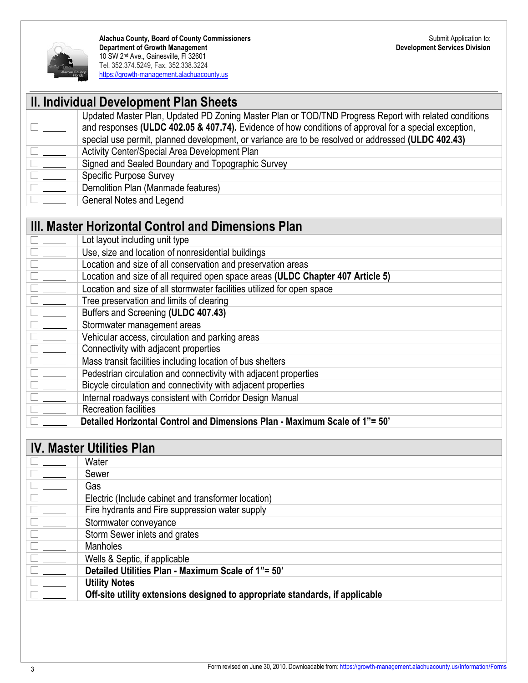

|                                                                                                                                                                                                                                                                                                                                                                                                                                                           | II. Individual Development Plan Sheets                                                                |
|-----------------------------------------------------------------------------------------------------------------------------------------------------------------------------------------------------------------------------------------------------------------------------------------------------------------------------------------------------------------------------------------------------------------------------------------------------------|-------------------------------------------------------------------------------------------------------|
|                                                                                                                                                                                                                                                                                                                                                                                                                                                           | Updated Master Plan, Updated PD Zoning Master Plan or TOD/TND Progress Report with related conditions |
|                                                                                                                                                                                                                                                                                                                                                                                                                                                           | and responses (ULDC 402.05 & 407.74). Evidence of how conditions of approval for a special exception, |
|                                                                                                                                                                                                                                                                                                                                                                                                                                                           | special use permit, planned development, or variance are to be resolved or addressed (ULDC 402.43)    |
| $\Box$                                                                                                                                                                                                                                                                                                                                                                                                                                                    | Activity Center/Special Area Development Plan                                                         |
|                                                                                                                                                                                                                                                                                                                                                                                                                                                           | Signed and Sealed Boundary and Topographic Survey                                                     |
| $\begin{tabular}{ c c } \hline \quad \quad & \quad \quad & \quad \quad \\ \hline \quad \quad & \quad \quad & \quad \quad \\ \hline \quad \quad & \quad \quad & \quad \quad \\ \hline \end{tabular}$                                                                                                                                                                                                                                                       | <b>Specific Purpose Survey</b>                                                                        |
| $\begin{tabular}{ c c c c } \hline \quad \quad & \quad \quad & \quad \quad & \quad \quad \\ \hline \quad \quad & \quad \quad & \quad \quad & \quad \quad \\ \hline \quad \quad & \quad \quad & \quad \quad & \quad \quad \\ \hline \end{tabular}$                                                                                                                                                                                                         | Demolition Plan (Manmade features)                                                                    |
|                                                                                                                                                                                                                                                                                                                                                                                                                                                           | <b>General Notes and Legend</b>                                                                       |
|                                                                                                                                                                                                                                                                                                                                                                                                                                                           |                                                                                                       |
|                                                                                                                                                                                                                                                                                                                                                                                                                                                           | III. Master Horizontal Control and Dimensions Plan                                                    |
| $\overline{\phantom{m}}$                                                                                                                                                                                                                                                                                                                                                                                                                                  | Lot layout including unit type                                                                        |
| $\sim$                                                                                                                                                                                                                                                                                                                                                                                                                                                    | Use, size and location of nonresidential buildings                                                    |
|                                                                                                                                                                                                                                                                                                                                                                                                                                                           | Location and size of all conservation and preservation areas                                          |
| $\begin{tabular}{ c c } \hline \quad \quad & \quad \quad & \quad \quad \\ \hline \quad \quad & \quad \quad & \quad \quad \\ \hline \quad \quad & \quad \quad & \quad \quad \\ \hline \quad \quad & \quad \quad & \quad \quad \\ \hline \quad \quad & \quad \quad & \quad \quad \\ \hline \end{tabular}$                                                                                                                                                   | Location and size of all required open space areas (ULDC Chapter 407 Article 5)                       |
|                                                                                                                                                                                                                                                                                                                                                                                                                                                           | Location and size of all stormwater facilities utilized for open space                                |
|                                                                                                                                                                                                                                                                                                                                                                                                                                                           | Tree preservation and limits of clearing                                                              |
|                                                                                                                                                                                                                                                                                                                                                                                                                                                           |                                                                                                       |
|                                                                                                                                                                                                                                                                                                                                                                                                                                                           | Buffers and Screening (ULDC 407.43)                                                                   |
|                                                                                                                                                                                                                                                                                                                                                                                                                                                           | Stormwater management areas                                                                           |
| $\begin{tabular}{ c c } \hline \quad \quad & \quad \quad & \quad \quad \\ \hline \quad \quad & \quad \quad & \quad \quad \\ \hline \quad \quad & \quad \quad & \quad \quad \\ \hline \quad \quad & \quad \quad & \quad \quad \\ \hline \quad \quad & \quad \quad & \quad \quad \\ \hline \end{tabular}$                                                                                                                                                   | Vehicular access, circulation and parking areas                                                       |
| $\frac{1}{1-\frac{1}{1-\frac{1}{1-\frac{1}{1-\frac{1}{1-\frac{1}{1-\frac{1}{1-\frac{1}{1-\frac{1}{1-\frac{1}{1-\frac{1}{1-\frac{1}{1-\frac{1}{1-\frac{1}{1-\frac{1}{1-\frac{1}{1-\frac{1}{1-\frac{1}{1-\frac{1}{1-\frac{1}{1-\frac{1}{1-\frac{1}{1-\frac{1}{1-\frac{1}{1-\frac{1}{1-\frac{1}{1-\frac{1}{1-\frac{1}{1-\frac{1}{1-\frac{1}{1-\frac{1}{1-\frac{1}{1-\frac{1}{1-\frac{1}{1-\frac{1}{1-\frac{1}{1-\frac{1$<br>$\frac{1}{\sqrt{1-\frac{1}{2}}}$ | Connectivity with adjacent properties                                                                 |

**E Pedestrian circulation and connectivity with adjacent properties**<br> **E Bicycle circulation and connectivity with adjacent properties** 

- **EXECUTE:** Bicycle circulation and connectivity with adjacent properties
- Internal roadways consistent with Corridor Design Manual<br>
Recreation facilities
	- ) Recreation facilities
- ) **Detailed Horizontal Control and Dimensions Plan - Maximum Scale of 1"= 50'**

# **IV. Master Utilities Plan**

|                   | Water                                                                        |
|-------------------|------------------------------------------------------------------------------|
|                   | Sewer                                                                        |
|                   | Gas                                                                          |
| <b>The Common</b> | Electric (Include cabinet and transformer location)                          |
|                   | Fire hydrants and Fire suppression water supply                              |
|                   | Stormwater conveyance                                                        |
|                   | Storm Sewer inlets and grates                                                |
|                   | <b>Manholes</b>                                                              |
|                   | Wells & Septic, if applicable                                                |
|                   | Detailed Utilities Plan - Maximum Scale of 1"= 50"                           |
|                   | <b>Utility Notes</b>                                                         |
|                   | Off-site utility extensions designed to appropriate standards, if applicable |
|                   |                                                                              |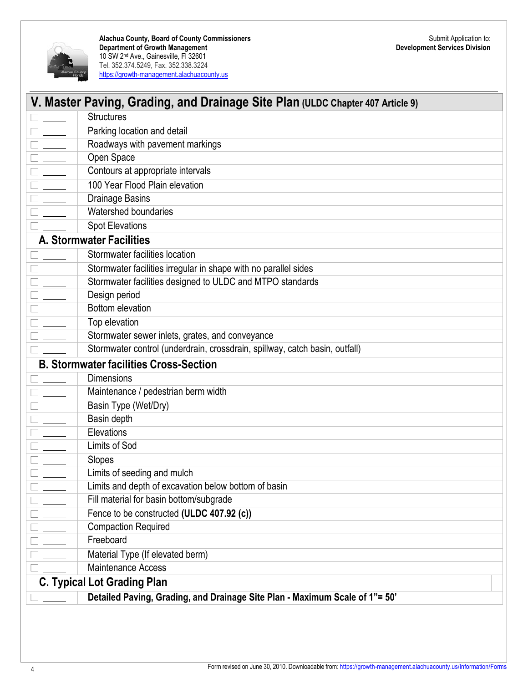

| V. Master Paving, Grading, and Drainage Site Plan (ULDC Chapter 407 Article 9) |  |
|--------------------------------------------------------------------------------|--|
| <b>Structures</b>                                                              |  |
| Parking location and detail                                                    |  |
| Roadways with pavement markings                                                |  |
| Open Space                                                                     |  |
| Contours at appropriate intervals                                              |  |
| 100 Year Flood Plain elevation                                                 |  |
| <b>Drainage Basins</b>                                                         |  |
| Watershed boundaries                                                           |  |
| <b>Spot Elevations</b>                                                         |  |
| <b>A. Stormwater Facilities</b>                                                |  |
| Stormwater facilities location                                                 |  |
| Stormwater facilities irregular in shape with no parallel sides                |  |
| Stormwater facilities designed to ULDC and MTPO standards                      |  |
| Design period                                                                  |  |
| <b>Bottom elevation</b>                                                        |  |
| Top elevation                                                                  |  |
| Stormwater sewer inlets, grates, and conveyance                                |  |
| Stormwater control (underdrain, crossdrain, spillway, catch basin, outfall)    |  |
| <b>B. Stormwater facilities Cross-Section</b>                                  |  |
| <b>Dimensions</b>                                                              |  |
| Maintenance / pedestrian berm width                                            |  |
| Basin Type (Wet/Dry)                                                           |  |
| Basin depth                                                                    |  |
| Elevations                                                                     |  |
| Limits of Sod                                                                  |  |
| Slopes                                                                         |  |
| Limits of seeding and mulch                                                    |  |
| Limits and depth of excavation below bottom of basin                           |  |
| Fill material for basin bottom/subgrade                                        |  |
| Fence to be constructed (ULDC 407.92 (c))                                      |  |
| <b>Compaction Required</b>                                                     |  |
| Freeboard                                                                      |  |
| Material Type (If elevated berm)                                               |  |
| <b>Maintenance Access</b>                                                      |  |
| <b>C. Typical Lot Grading Plan</b>                                             |  |
| Detailed Paving, Grading, and Drainage Site Plan - Maximum Scale of 1"= 50"    |  |
|                                                                                |  |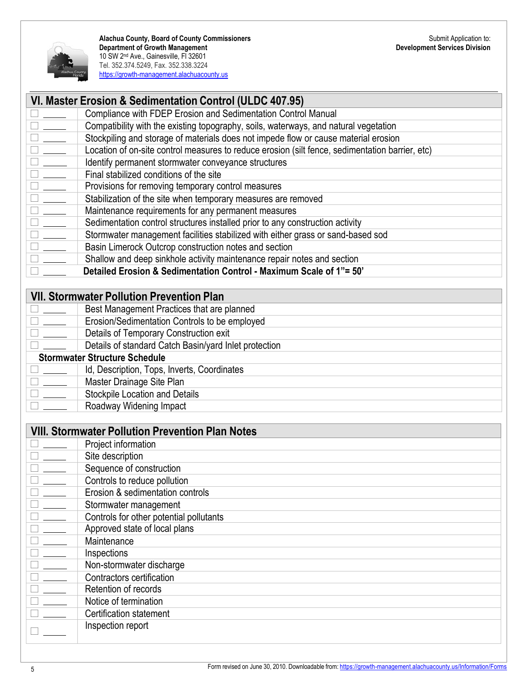

|                                                                                                | VI. Master Erosion & Sedimentation Control (ULDC 407.95)                                        |
|------------------------------------------------------------------------------------------------|-------------------------------------------------------------------------------------------------|
|                                                                                                | Compliance with FDEP Erosion and Sedimentation Control Manual                                   |
| $\overline{\phantom{a}}$                                                                       | Compatibility with the existing topography, soils, waterways, and natural vegetation            |
| $\overline{\phantom{a}}$                                                                       | Stockpiling and storage of materials does not impede flow or cause material erosion             |
| $\frac{1}{2}$                                                                                  | Location of on-site control measures to reduce erosion (silt fence, sedimentation barrier, etc) |
| $\mathcal{L}(\mathcal{L})$                                                                     | Identify permanent stormwater conveyance structures                                             |
| $\frac{1}{1}$                                                                                  | Final stabilized conditions of the site                                                         |
|                                                                                                | Provisions for removing temporary control measures                                              |
|                                                                                                | Stabilization of the site when temporary measures are removed                                   |
| $\frac{1}{\sqrt{1-\frac{1}{2}}}\left( \frac{1}{\sqrt{1-\frac{1}{2}}}\right) ^{2}$              | Maintenance requirements for any permanent measures                                             |
| $\mathcal{L}^{\text{max}}$                                                                     | Sedimentation control structures installed prior to any construction activity                   |
| $\frac{1}{\sqrt{1-\frac{1}{2}}\left(1-\frac{1}{2}\right)}\left(\frac{1}{2}-\frac{1}{2}\right)$ | Stormwater management facilities stabilized with either grass or sand-based sod                 |
| $\overline{\phantom{a}}$                                                                       | Basin Limerock Outcrop construction notes and section                                           |
|                                                                                                | Shallow and deep sinkhole activity maintenance repair notes and section                         |
|                                                                                                | Detailed Erosion & Sedimentation Control - Maximum Scale of 1"= 50"                             |
|                                                                                                |                                                                                                 |
|                                                                                                | <b>VII. Stormwater Pollution Prevention Plan</b>                                                |
|                                                                                                | Best Management Practices that are planned                                                      |
|                                                                                                | Erosion/Sedimentation Controls to be employed                                                   |
|                                                                                                | Details of Temporary Construction exit                                                          |
|                                                                                                | Details of standard Catch Basin/yard Inlet protection                                           |
|                                                                                                | <b>Stormwater Structure Schedule</b>                                                            |
| $\frac{1}{\sqrt{1-\frac{1}{2}}\left(1-\frac{1}{2}\right)}\left(1-\frac{1}{2}\right)$           | Id, Description, Tops, Inverts, Coordinates                                                     |
|                                                                                                | Master Drainage Site Plan                                                                       |
|                                                                                                | <b>Stockpile Location and Details</b>                                                           |
|                                                                                                | Roadway Widening Impact                                                                         |
|                                                                                                |                                                                                                 |
|                                                                                                | <b>VIII. Stormwater Pollution Prevention Plan Notes</b>                                         |
|                                                                                                | Project information                                                                             |
|                                                                                                | Site description                                                                                |
|                                                                                                | Sequence of construction                                                                        |
|                                                                                                | Controls to reduce pollution                                                                    |
|                                                                                                | Erosion & sedimentation controls                                                                |
|                                                                                                | Stormwater management                                                                           |
|                                                                                                | Controls for other potential pollutants                                                         |
|                                                                                                | Approved state of local plans                                                                   |
|                                                                                                | Maintenance                                                                                     |
|                                                                                                | Inspections                                                                                     |
|                                                                                                | Non-stormwater discharge                                                                        |

Inspection report

) Certification statement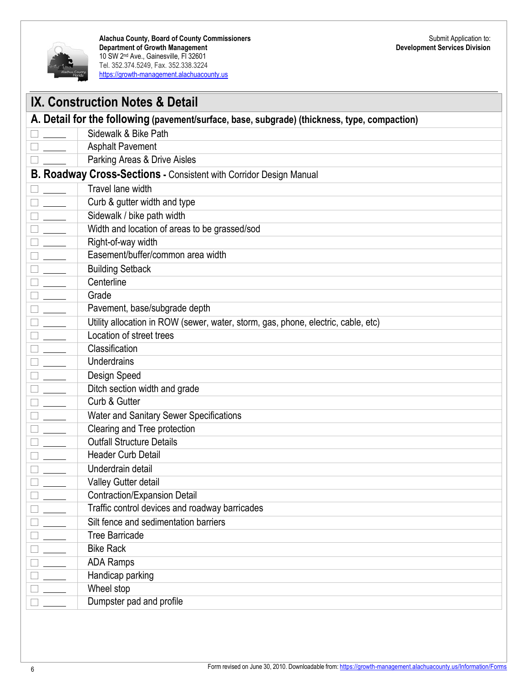

|                                                                                   | <b>IX. Construction Notes &amp; Detail</b>                                                   |  |
|-----------------------------------------------------------------------------------|----------------------------------------------------------------------------------------------|--|
|                                                                                   | A. Detail for the following (pavement/surface, base, subgrade) (thickness, type, compaction) |  |
|                                                                                   | Sidewalk & Bike Path                                                                         |  |
|                                                                                   | <b>Asphalt Pavement</b>                                                                      |  |
|                                                                                   | Parking Areas & Drive Aisles                                                                 |  |
|                                                                                   | <b>B. Roadway Cross-Sections - Consistent with Corridor Design Manual</b>                    |  |
|                                                                                   | Travel lane width                                                                            |  |
|                                                                                   | Curb & gutter width and type                                                                 |  |
|                                                                                   | Sidewalk / bike path width                                                                   |  |
|                                                                                   | Width and location of areas to be grassed/sod                                                |  |
|                                                                                   | Right-of-way width                                                                           |  |
|                                                                                   | Easement/buffer/common area width                                                            |  |
|                                                                                   | <b>Building Setback</b>                                                                      |  |
|                                                                                   | Centerline                                                                                   |  |
| $\frac{1}{\sqrt{1-\frac{1}{2}}}\left( \frac{1}{\sqrt{1-\frac{1}{2}}}\right) ^{2}$ | Grade                                                                                        |  |
|                                                                                   | Pavement, base/subgrade depth                                                                |  |
| $\frac{1}{\sqrt{1-\frac{1}{2}}}\left( \frac{1}{\sqrt{1-\frac{1}{2}}}\right) ^{2}$ | Utility allocation in ROW (sewer, water, storm, gas, phone, electric, cable, etc)            |  |
| $\frac{1}{2}$                                                                     | Location of street trees                                                                     |  |
| $\frac{1}{\sqrt{1-\frac{1}{2}}}\left( \frac{1}{\sqrt{1-\frac{1}{2}}}\right) ^{2}$ | Classification                                                                               |  |
| $\frac{1}{\sqrt{1-\frac{1}{2}}}\left( \frac{1}{\sqrt{1-\frac{1}{2}}}\right) ^{2}$ | Underdrains                                                                                  |  |
|                                                                                   | Design Speed                                                                                 |  |
|                                                                                   | Ditch section width and grade                                                                |  |
|                                                                                   | Curb & Gutter                                                                                |  |
|                                                                                   | Water and Sanitary Sewer Specifications                                                      |  |
|                                                                                   | Clearing and Tree protection                                                                 |  |
|                                                                                   | <b>Outfall Structure Details</b>                                                             |  |
|                                                                                   | <b>Header Curb Detail</b>                                                                    |  |
|                                                                                   | Underdrain detail                                                                            |  |
|                                                                                   | Valley Gutter detail                                                                         |  |
|                                                                                   | <b>Contraction/Expansion Detail</b>                                                          |  |
|                                                                                   | Traffic control devices and roadway barricades                                               |  |
|                                                                                   | Silt fence and sedimentation barriers                                                        |  |
|                                                                                   | <b>Tree Barricade</b>                                                                        |  |
|                                                                                   | <b>Bike Rack</b>                                                                             |  |
|                                                                                   | <b>ADA Ramps</b>                                                                             |  |
|                                                                                   | Handicap parking                                                                             |  |
|                                                                                   | Wheel stop                                                                                   |  |
|                                                                                   | Dumpster pad and profile                                                                     |  |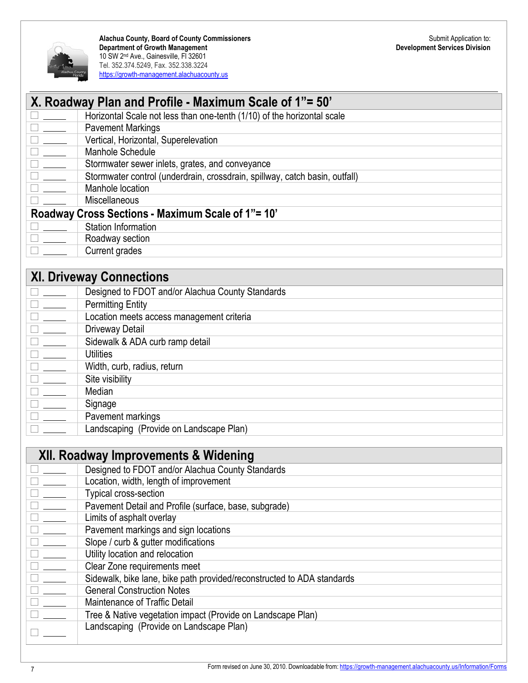

| X. Roadway Plan and Profile - Maximum Scale of 1"= 50"                                |  |
|---------------------------------------------------------------------------------------|--|
| Horizontal Scale not less than one-tenth (1/10) of the horizontal scale               |  |
| $\Box$<br><b>Pavement Markings</b>                                                    |  |
| $\Box$<br>Vertical, Horizontal, Superelevation                                        |  |
| $\Box$<br>Manhole Schedule                                                            |  |
| Stormwater sewer inlets, grates, and conveyance                                       |  |
| $\Box$<br>Stormwater control (underdrain, crossdrain, spillway, catch basin, outfall) |  |
| Manhole location                                                                      |  |
| Miscellaneous                                                                         |  |
| Roadway Cross Sections - Maximum Scale of 1"= 10"                                     |  |
| Station Information                                                                   |  |
| $\mathbf{L}$<br>Roadway section                                                       |  |
| Current grades                                                                        |  |
|                                                                                       |  |

### **XI. Driveway Connections**

|                    | Designed to FDOT and/or Alachua County Standards |
|--------------------|--------------------------------------------------|
|                    | <b>Permitting Entity</b>                         |
|                    | Location meets access management criteria        |
|                    | Driveway Detail                                  |
| $\epsilon = \pm 1$ | Sidewalk & ADA curb ramp detail                  |
|                    | <b>Utilities</b>                                 |
|                    | Width, curb, radius, return                      |
|                    | Site visibility                                  |
|                    | Median                                           |
|                    | Signage                                          |
|                    | Pavement markings                                |
|                    | Landscaping (Provide on Landscape Plan)          |

# **XII. Roadway Improvements & Widening**

|             | Designed to FDOT and/or Alachua County Standards                       |
|-------------|------------------------------------------------------------------------|
|             | Location, width, length of improvement                                 |
| The Company | Typical cross-section                                                  |
|             | Pavement Detail and Profile (surface, base, subgrade)                  |
| $\Box$      | Limits of asphalt overlay                                              |
|             | Pavement markings and sign locations                                   |
|             | Slope / curb & gutter modifications                                    |
|             | Utility location and relocation                                        |
|             | Clear Zone requirements meet                                           |
|             | Sidewalk, bike lane, bike path provided/reconstructed to ADA standards |
|             | <b>General Construction Notes</b>                                      |
|             | Maintenance of Traffic Detail                                          |
|             | Tree & Native vegetation impact (Provide on Landscape Plan)            |
|             | Landscaping (Provide on Landscape Plan)                                |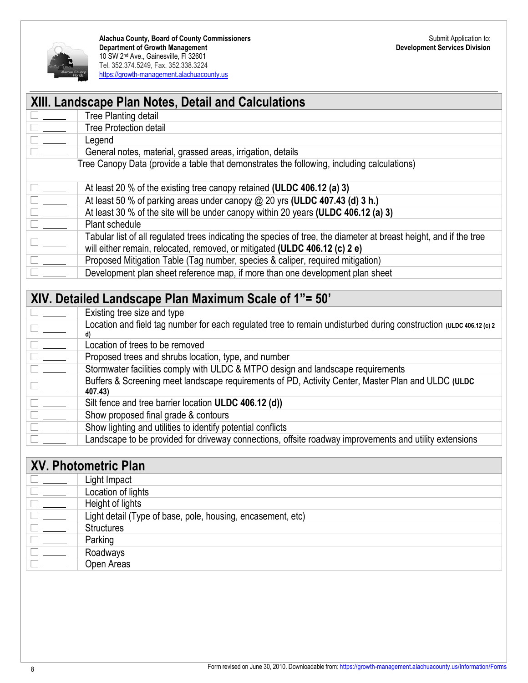

|                                                                                                                                                                                                                                                                                                         | <b>XIII. Landscape Plan Notes, Detail and Calculations</b>                                                         |  |
|---------------------------------------------------------------------------------------------------------------------------------------------------------------------------------------------------------------------------------------------------------------------------------------------------------|--------------------------------------------------------------------------------------------------------------------|--|
|                                                                                                                                                                                                                                                                                                         | Tree Planting detail                                                                                               |  |
| $\overline{1}$ $\overline{\phantom{1}}$                                                                                                                                                                                                                                                                 | <b>Tree Protection detail</b>                                                                                      |  |
| $\frac{1}{\sqrt{1-\frac{1}{2}}}$                                                                                                                                                                                                                                                                        | Legend                                                                                                             |  |
|                                                                                                                                                                                                                                                                                                         | General notes, material, grassed areas, irrigation, details                                                        |  |
|                                                                                                                                                                                                                                                                                                         | Tree Canopy Data (provide a table that demonstrates the following, including calculations)                         |  |
|                                                                                                                                                                                                                                                                                                         |                                                                                                                    |  |
| $\frac{1}{2}$                                                                                                                                                                                                                                                                                           | At least 20 % of the existing tree canopy retained (ULDC 406.12 (a) 3)                                             |  |
|                                                                                                                                                                                                                                                                                                         | At least 50 % of parking areas under canopy $@$ 20 yrs (ULDC 407.43 (d) 3 h.)                                      |  |
|                                                                                                                                                                                                                                                                                                         | At least 30 % of the site will be under canopy within 20 years (ULDC 406.12 (a) 3)                                 |  |
| $\begin{tabular}{ c c } \hline \quad \quad & \quad \quad & \quad \quad \\ \hline \quad \quad & \quad \quad & \quad \quad \\ \hline \quad \quad & \quad \quad & \quad \quad \\ \hline \quad \quad & \quad \quad & \quad \quad \\ \hline \quad \quad & \quad \quad & \quad \quad \\ \hline \end{tabular}$ | Plant schedule                                                                                                     |  |
|                                                                                                                                                                                                                                                                                                         | Tabular list of all regulated trees indicating the species of tree, the diameter at breast height, and if the tree |  |
|                                                                                                                                                                                                                                                                                                         | will either remain, relocated, removed, or mitigated (ULDC 406.12 (c) 2 e)                                         |  |
| $1\frac{1}{2}$                                                                                                                                                                                                                                                                                          | Proposed Mitigation Table (Tag number, species & caliper, required mitigation)                                     |  |
|                                                                                                                                                                                                                                                                                                         | Development plan sheet reference map, if more than one development plan sheet                                      |  |
|                                                                                                                                                                                                                                                                                                         |                                                                                                                    |  |
|                                                                                                                                                                                                                                                                                                         | VIV Detailed Landesone Dlan Maximum Seele of 1"- 50"                                                               |  |

### **XIV. Detailed Landscape Plan Maximum Scale of 1"= 50'**

|                            | Existing tree size and type                                                                                              |
|----------------------------|--------------------------------------------------------------------------------------------------------------------------|
|                            | Location and field tag number for each regulated tree to remain undisturbed during construction (ULDC 406.12 (c) 2<br>d) |
|                            | Location of trees to be removed                                                                                          |
| $\Box$                     | Proposed trees and shrubs location, type, and number                                                                     |
| $\mathcal{L}(\mathcal{A})$ | Stormwater facilities comply with ULDC & MTPO design and landscape requirements                                          |
|                            | Buffers & Screening meet landscape requirements of PD, Activity Center, Master Plan and ULDC (ULDC<br>407.43)            |
|                            | Silt fence and tree barrier location ULDC 406.12 (d))                                                                    |
| $\Box$                     | Show proposed final grade & contours                                                                                     |
|                            | Show lighting and utilities to identify potential conflicts                                                              |
|                            | Landscape to be provided for driveway connections, offsite roadway improvements and utility extensions                   |

| <b>XV. Photometric Plan</b> |                                                             |
|-----------------------------|-------------------------------------------------------------|
|                             | Light Impact                                                |
| $\Box$                      | Location of lights                                          |
| $\Box$                      | Height of lights                                            |
|                             | Light detail (Type of base, pole, housing, encasement, etc) |
|                             | <b>Structures</b>                                           |
|                             | Parking                                                     |
|                             | Roadways                                                    |
|                             | Open Areas                                                  |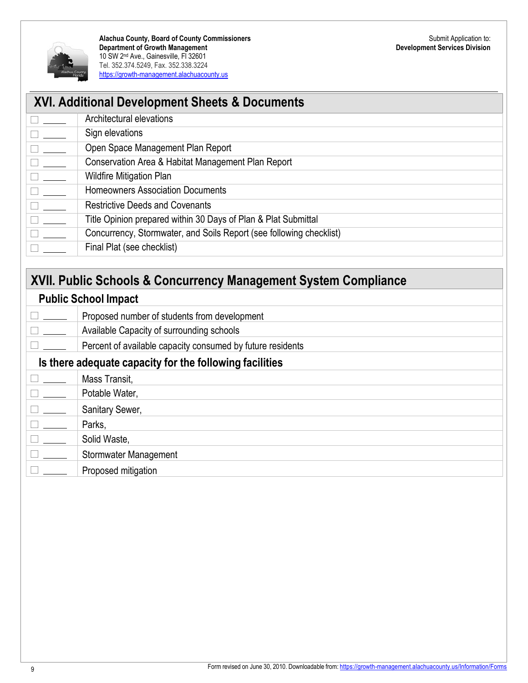

| <b>XVI. Additional Development Sheets &amp; Documents</b> |                                                                     |  |
|-----------------------------------------------------------|---------------------------------------------------------------------|--|
| $\Box$ and $\Box$                                         | Architectural elevations                                            |  |
| $\Box \hspace{0.2cm} \underline{\hspace{0.2cm}}$          | Sign elevations                                                     |  |
| $\overline{\square}$                                      | Open Space Management Plan Report                                   |  |
| $\overline{\Box}$                                         | Conservation Area & Habitat Management Plan Report                  |  |
| $\Box$                                                    | <b>Wildfire Mitigation Plan</b>                                     |  |
| $\Box$                                                    | <b>Homeowners Association Documents</b>                             |  |
|                                                           | <b>Restrictive Deeds and Covenants</b>                              |  |
|                                                           | Title Opinion prepared within 30 Days of Plan & Plat Submittal      |  |
|                                                           | Concurrency, Stormwater, and Soils Report (see following checklist) |  |
|                                                           | Final Plat (see checklist)                                          |  |

# **XVII. Public Schools & Concurrency Management System Compliance**

#### **Public School Impact**

| <b>Public School Impact</b>                             |                                                            |  |
|---------------------------------------------------------|------------------------------------------------------------|--|
|                                                         | Proposed number of students from development               |  |
| $\Box$                                                  | Available Capacity of surrounding schools                  |  |
|                                                         | Percent of available capacity consumed by future residents |  |
| Is there adequate capacity for the following facilities |                                                            |  |
|                                                         | Mass Transit,                                              |  |
|                                                         | Potable Water,                                             |  |
|                                                         | Sanitary Sewer,                                            |  |
|                                                         | Parks,                                                     |  |
|                                                         | Solid Waste,                                               |  |
|                                                         | Stormwater Management                                      |  |
|                                                         | Proposed mitigation                                        |  |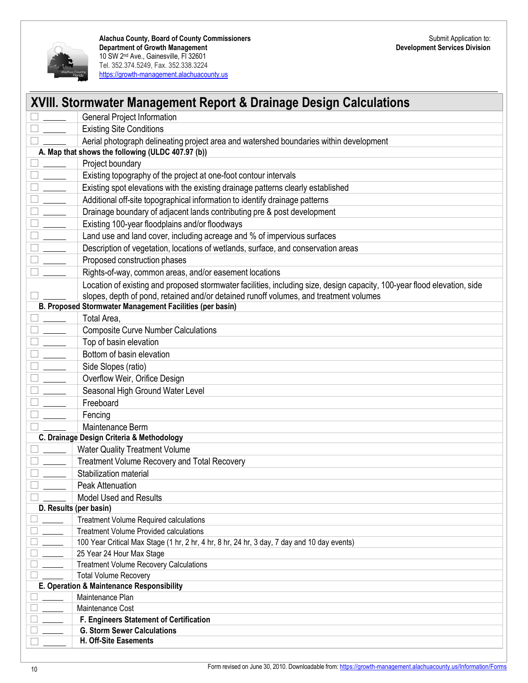

| <b>XVIII. Stormwater Management Report &amp; Drainage Design Calculations</b>                                                               |                                                                                                                                                                                                                   |  |
|---------------------------------------------------------------------------------------------------------------------------------------------|-------------------------------------------------------------------------------------------------------------------------------------------------------------------------------------------------------------------|--|
|                                                                                                                                             | General Project Information                                                                                                                                                                                       |  |
|                                                                                                                                             |                                                                                                                                                                                                                   |  |
|                                                                                                                                             | <b>Existing Site Conditions</b>                                                                                                                                                                                   |  |
| Aerial photograph delineating project area and watershed boundaries within development<br>A. Map that shows the following (ULDC 407.97 (b)) |                                                                                                                                                                                                                   |  |
|                                                                                                                                             | Project boundary                                                                                                                                                                                                  |  |
|                                                                                                                                             | Existing topography of the project at one-foot contour intervals                                                                                                                                                  |  |
|                                                                                                                                             | Existing spot elevations with the existing drainage patterns clearly established                                                                                                                                  |  |
| $\frac{1}{2}$ and $\frac{1}{2}$                                                                                                             | Additional off-site topographical information to identify drainage patterns                                                                                                                                       |  |
| $\frac{1}{2}$                                                                                                                               | Drainage boundary of adjacent lands contributing pre & post development                                                                                                                                           |  |
| $\overline{\phantom{a}}$                                                                                                                    | Existing 100-year floodplains and/or floodways                                                                                                                                                                    |  |
| $\overline{\phantom{a}}$                                                                                                                    | Land use and land cover, including acreage and % of impervious surfaces                                                                                                                                           |  |
|                                                                                                                                             | Description of vegetation, locations of wetlands, surface, and conservation areas                                                                                                                                 |  |
|                                                                                                                                             | Proposed construction phases                                                                                                                                                                                      |  |
|                                                                                                                                             | Rights-of-way, common areas, and/or easement locations                                                                                                                                                            |  |
|                                                                                                                                             | Location of existing and proposed stormwater facilities, including size, design capacity, 100-year flood elevation, side<br>slopes, depth of pond, retained and/or detained runoff volumes, and treatment volumes |  |
|                                                                                                                                             | B. Proposed Stormwater Management Facilities (per basin)                                                                                                                                                          |  |
|                                                                                                                                             | Total Area,                                                                                                                                                                                                       |  |
|                                                                                                                                             | <b>Composite Curve Number Calculations</b>                                                                                                                                                                        |  |
|                                                                                                                                             | Top of basin elevation                                                                                                                                                                                            |  |
| $\overline{\phantom{a}}$                                                                                                                    | Bottom of basin elevation                                                                                                                                                                                         |  |
| $\frac{1}{1}$                                                                                                                               | Side Slopes (ratio)                                                                                                                                                                                               |  |
|                                                                                                                                             | Overflow Weir, Orifice Design                                                                                                                                                                                     |  |
|                                                                                                                                             | Seasonal High Ground Water Level                                                                                                                                                                                  |  |
|                                                                                                                                             | Freeboard                                                                                                                                                                                                         |  |
|                                                                                                                                             | Fencing                                                                                                                                                                                                           |  |
|                                                                                                                                             | Maintenance Berm                                                                                                                                                                                                  |  |
|                                                                                                                                             | C. Drainage Design Criteria & Methodology                                                                                                                                                                         |  |
|                                                                                                                                             | <b>Water Quality Treatment Volume</b>                                                                                                                                                                             |  |
|                                                                                                                                             | Treatment Volume Recovery and Total Recovery                                                                                                                                                                      |  |
|                                                                                                                                             | Stabilization material                                                                                                                                                                                            |  |
|                                                                                                                                             | Peak Attenuation                                                                                                                                                                                                  |  |
|                                                                                                                                             | <b>Model Used and Results</b>                                                                                                                                                                                     |  |
| D. Results (per basin)                                                                                                                      |                                                                                                                                                                                                                   |  |
|                                                                                                                                             | <b>Treatment Volume Required calculations</b>                                                                                                                                                                     |  |
|                                                                                                                                             | <b>Treatment Volume Provided calculations</b>                                                                                                                                                                     |  |
|                                                                                                                                             | 100 Year Critical Max Stage (1 hr, 2 hr, 4 hr, 8 hr, 24 hr, 3 day, 7 day and 10 day events)                                                                                                                       |  |
|                                                                                                                                             | 25 Year 24 Hour Max Stage                                                                                                                                                                                         |  |
|                                                                                                                                             | <b>Treatment Volume Recovery Calculations</b>                                                                                                                                                                     |  |
|                                                                                                                                             | <b>Total Volume Recovery</b>                                                                                                                                                                                      |  |
|                                                                                                                                             | E. Operation & Maintenance Responsibility                                                                                                                                                                         |  |
|                                                                                                                                             | Maintenance Plan                                                                                                                                                                                                  |  |
|                                                                                                                                             | Maintenance Cost                                                                                                                                                                                                  |  |
|                                                                                                                                             | F. Engineers Statement of Certification                                                                                                                                                                           |  |
|                                                                                                                                             | <b>G. Storm Sewer Calculations</b><br>H. Off-Site Easements                                                                                                                                                       |  |
|                                                                                                                                             |                                                                                                                                                                                                                   |  |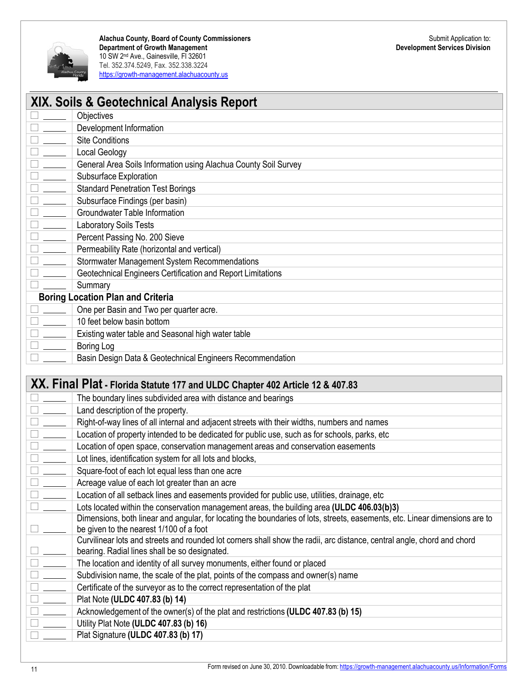

| XIX. Soils & Geotechnical Analysis Report |                                                                                                                                                                    |  |
|-------------------------------------------|--------------------------------------------------------------------------------------------------------------------------------------------------------------------|--|
|                                           | Objectives                                                                                                                                                         |  |
|                                           | Development Information                                                                                                                                            |  |
|                                           | <b>Site Conditions</b>                                                                                                                                             |  |
|                                           | <b>Local Geology</b>                                                                                                                                               |  |
|                                           | General Area Soils Information using Alachua County Soil Survey                                                                                                    |  |
|                                           | Subsurface Exploration                                                                                                                                             |  |
|                                           | <b>Standard Penetration Test Borings</b>                                                                                                                           |  |
|                                           | Subsurface Findings (per basin)                                                                                                                                    |  |
|                                           | Groundwater Table Information                                                                                                                                      |  |
|                                           | <b>Laboratory Soils Tests</b>                                                                                                                                      |  |
|                                           | Percent Passing No. 200 Sieve                                                                                                                                      |  |
|                                           | Permeability Rate (horizontal and vertical)                                                                                                                        |  |
|                                           | Stormwater Management System Recommendations                                                                                                                       |  |
|                                           | Geotechnical Engineers Certification and Report Limitations                                                                                                        |  |
|                                           | Summary                                                                                                                                                            |  |
|                                           | <b>Boring Location Plan and Criteria</b>                                                                                                                           |  |
|                                           | One per Basin and Two per quarter acre.                                                                                                                            |  |
|                                           | 10 feet below basin bottom                                                                                                                                         |  |
|                                           | Existing water table and Seasonal high water table                                                                                                                 |  |
|                                           | <b>Boring Log</b>                                                                                                                                                  |  |
|                                           | Basin Design Data & Geotechnical Engineers Recommendation                                                                                                          |  |
|                                           |                                                                                                                                                                    |  |
|                                           | XX. Final Plat - Florida Statute 177 and ULDC Chapter 402 Article 12 & 407.83                                                                                      |  |
|                                           | The boundary lines subdivided area with distance and bearings                                                                                                      |  |
|                                           | Land description of the property.                                                                                                                                  |  |
|                                           | Right-of-way lines of all internal and adjacent streets with their widths, numbers and names                                                                       |  |
|                                           | Location of property intended to be dedicated for public use, such as for schools, parks, etc                                                                      |  |
|                                           | Location of open space, conservation management areas and conservation easements                                                                                   |  |
|                                           | Lot lines, identification system for all lots and blocks,                                                                                                          |  |
|                                           | Square-foot of each lot equal less than one acre                                                                                                                   |  |
|                                           | Acreage value of each lot greater than an acre                                                                                                                     |  |
|                                           | Location of all setback lines and easements provided for public use, utilities, drainage, etc                                                                      |  |
|                                           | Lots located within the conservation management areas, the building area (ULDC 406.03(b)3)                                                                         |  |
|                                           | Dimensions, both linear and angular, for locating the boundaries of lots, streets, easements, etc. Linear dimensions are to                                        |  |
|                                           | be given to the nearest 1/100 of a foot<br>Curvilinear lots and streets and rounded lot corners shall show the radii, arc distance, central angle, chord and chord |  |
|                                           | bearing. Radial lines shall be so designated.                                                                                                                      |  |
|                                           | The location and identity of all survey monuments, either found or placed                                                                                          |  |
|                                           | Subdivision name, the scale of the plat, points of the compass and owner(s) name                                                                                   |  |
|                                           | Certificate of the surveyor as to the correct representation of the plat                                                                                           |  |
|                                           | Plat Note (ULDC 407.83 (b) 14)                                                                                                                                     |  |
|                                           | Acknowledgement of the owner(s) of the plat and restrictions (ULDC 407.83 (b) 15)                                                                                  |  |
|                                           | Utility Plat Note (ULDC 407.83 (b) 16)                                                                                                                             |  |
|                                           | Plat Signature (ULDC 407.83 (b) 17)                                                                                                                                |  |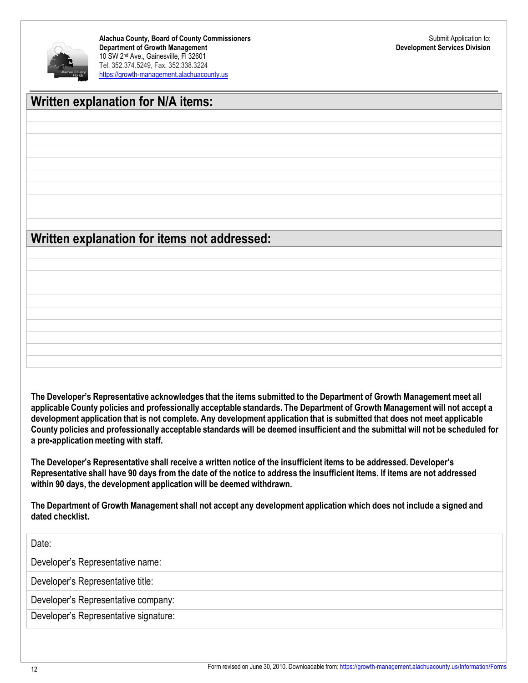

### **Written explanation for N/A items:**

## **Written explanation for items not addressed:**

The Developer's Representative acknowledges that the items submitted to the Department of Growth Management meet all applicable County policies and professionally acceptable standards. The Department of Growth Management will not accept a development application that is not complete. Any development application that is submitted that does not meet applicable County policies and professionally acceptable standards will be deemed insufficient and the submittal will not be scheduled for **a pre-application meeting with staff.**

The Developer's Representative shall receive a written notice of the insufficient items to be addressed. Developer's Representative shall have 90 days from the date of the notice to address the insufficient items. If items are not addressed **within 90 days, the development application will be deemed withdrawn.**

The Department of Growth Management shall not accept any development application which does not include a signed and **dated checklist.**

| Date:                                 |  |
|---------------------------------------|--|
| Developer's Representative name:      |  |
| Developer's Representative title:     |  |
| Developer's Representative company:   |  |
| Developer's Representative signature: |  |
|                                       |  |